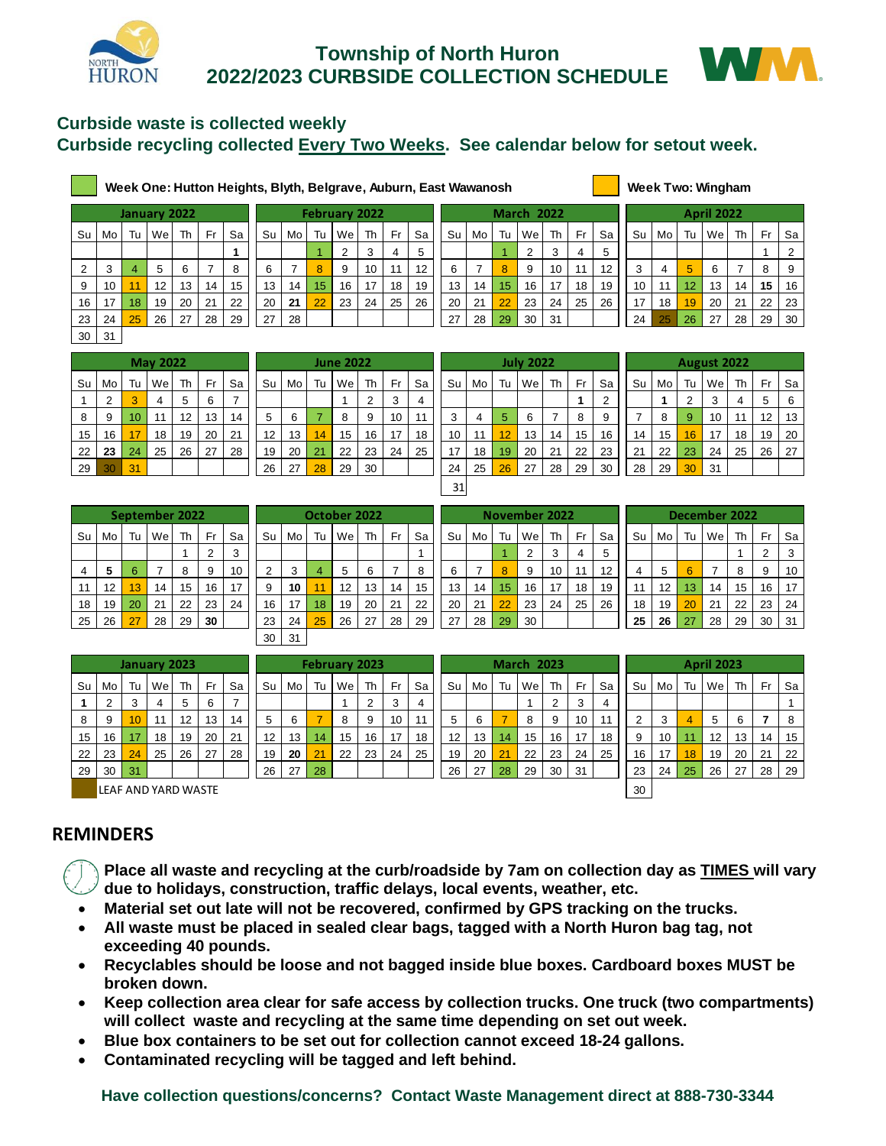

# **Township of North Huron 2022/2023 CURBSIDE COLLECTION SCHEDULE**



#### **Curbside waste is collected weekly Curbside recycling collected Every Two Weeks. See calendar below for setout week.**

| <b>Week Two: Winghar</b> |
|--------------------------|
|--------------------------|

|                 |    |    |              |    |     |    | Week One: Hutton Heights, Blyth, Belgrave, Auburn, East Wawanosh |    |    |                      |    |      |    |    |     |                 |                   |    |     |                 |    |    |                 | Week Two: Wingham |    |     |    |
|-----------------|----|----|--------------|----|-----|----|------------------------------------------------------------------|----|----|----------------------|----|------|----|----|-----|-----------------|-------------------|----|-----|-----------------|----|----|-----------------|-------------------|----|-----|----|
|                 |    |    | January 2022 |    |     |    |                                                                  |    |    | <b>February 2022</b> |    |      |    |    |     |                 | <b>March 2022</b> |    |     |                 |    |    |                 | <b>April 2022</b> |    |     |    |
| Su l            | Mo | Tu | Wel          | Th | Fr. | Sa | Su I                                                             | Mo | Tu | Wel                  | Th | - Fr | Sa | Su | Mol | Tu              | Wel               | Th | Fr. | Sa              | Su | Mo | Tu              | Wel               | Th | Fr. | Sa |
|                 |    |    |              |    |     |    |                                                                  |    |    | ◠                    | 3  | 4    | 5  |    |     |                 |                   | 3  | 4   | 5               |    |    |                 |                   |    |     | 2  |
| $\overline{2}$  | 3  |    | 5            | 6  |     | 8  | 6                                                                |    | 8  | 9                    | 10 | 11   | 12 | 6  |     | 8               | 9                 | 10 | 11  | 12 <sup>2</sup> | 3  | 4  | 5               | 6                 |    | 8   | 9  |
| 9               | 10 | 11 | 12           | 13 | 14  | 15 | 13                                                               | 14 | 15 | 16                   | 17 | 18   | 19 | 13 | 14  | 15 <sub>1</sub> | 16                | 17 | 18  | 19              | 10 | 11 | 12 <sup>°</sup> | 13                | 14 | 15  | 16 |
| 16              | 17 | 18 | 19           | 20 | 21  | 22 | 20                                                               | 21 | 22 | 23                   | 24 | 25   | 26 | 20 | 21  | 22              | 23                | 24 | 25  | 26              | 17 | 18 | 19              | 20                | 21 | 22  | 23 |
| 23              | 24 | 25 | 26           | 27 | 28  | 29 | 27                                                               | 28 |    |                      |    |      |    | 27 | 28  | 29              | 30                | 31 |     |                 | 24 | 25 | 26              | 27                | 28 | 29  | 30 |
| 30 <sup>1</sup> | 31 |    |              |    |     |    |                                                                  |    |    |                      |    |      |    |    |     |                 |                   |    |     |                 |    |    |                 |                   |    |     |    |

|    |    |    | <b>May 2022</b> |    |    |    |    |    |    | <b>June 2022</b> |    |    |    |    |    |    | <b>July 2022</b> |    |    |    |    |     |    | <b>August 2022</b> |    |    |     |
|----|----|----|-----------------|----|----|----|----|----|----|------------------|----|----|----|----|----|----|------------------|----|----|----|----|-----|----|--------------------|----|----|-----|
| Su | Mo | Tu | We              | Th | Fr | Sa | Su | Mo | Tu | We.              | Th | Fr | Sa | Su | Mo | Tu | Wei              | Th | Fr | Sa | Su | Mo  | Tu | We                 | Th | Fr | Sa  |
|    | 2  | 3  | 4               | 5  | 6  |    |    |    |    |                  |    | 3  | 4  |    |    |    |                  |    |    |    |    |     | ∠  | 3                  | 4  | 5  | - 6 |
| 8  | 9  | 10 | 11              | 12 | 13 | 14 | 5  | 6  |    | 8                | 9  | 10 | 11 | 3  | 4  | 5  | 6                |    | 8  | 9  |    | 8   | -9 | 10                 | 11 | 12 | -13 |
| 15 | 16 | 17 | 18              | 19 | 20 | 21 | 12 | 13 | 14 | 15               | 16 | 17 | 18 | 10 | 11 | 12 | 13               | 14 | 15 | 16 | 14 | 15  | 16 | 17                 | 18 | 19 | 20  |
| 22 | 23 | 24 | 25              | 26 | 27 | 28 | 19 | 20 | 21 | 22               | 23 | 24 | 25 | 17 | 18 | 19 | 20               | 21 | 22 | 23 | 21 | 22  | 23 | 24                 | 25 | 26 | 27  |
| 29 | 30 | 31 |                 |    |    |    | 26 | 27 | 28 | 29               | 30 |    |    | 24 | 25 | 26 | 27               | 28 | 29 | 30 | 28 | -29 | 30 | $\vert$ 31         |    |    |     |

| Mo | Tu | We | Th | Fr               | Sa |
|----|----|----|----|------------------|----|
|    |    |    | 2  | 3                | 4  |
| 6  | 7  | 8  | 9  | 10               | 11 |
| 13 | 14 | 15 | 16 | 17               | 18 |
| 20 | 21 | 22 | 23 | 24               | 25 |
| 27 | 28 | 29 | 30 |                  |    |
|    |    |    |    | <b>June 2022</b> |    |

| 23 | 24 | 25              | 26              | 27 | 28 | 29 | 27                | 28 |    |                  |    |      |    | 27 | 28 | 29 | 30               | 31 |    |                | 24 | 25 | 26 | 27                 | 28 | 29 | 30 |
|----|----|-----------------|-----------------|----|----|----|-------------------|----|----|------------------|----|------|----|----|----|----|------------------|----|----|----------------|----|----|----|--------------------|----|----|----|
| 30 | 31 |                 |                 |    |    |    |                   |    |    |                  |    |      |    |    |    |    |                  |    |    |                |    |    |    |                    |    |    |    |
|    |    |                 | <b>May 2022</b> |    |    |    |                   |    |    | <b>June 2022</b> |    |      |    |    |    |    | <b>July 2022</b> |    |    |                |    |    |    | <b>August 2022</b> |    |    |    |
| Su | Mo | Tu              | We              | Th | Fr | Sa | Su                | Mo | Tu | We               | Th | - Fr | Sa | Su | Mo | Tu | We               | Th | Fr | Sa             | Su | Mo | Tu | We                 | Th | Fr | Sa |
|    | 2  | 3               | 4               | 5  | 6  | ⇁  |                   |    |    |                  | 2  | 3    | 4  |    |    |    |                  |    |    | $\overline{2}$ |    |    | 2  | 3                  | 4  | 5  | 6  |
| 8  | 9  | 10 <sup>°</sup> | 11              | 12 | 13 | 14 | 5                 | 6  |    | 8                | 9  | 10   | 11 | 3  | 4  | 5  | 6                |    | 8  | 9              |    | 8  | 9  | 10                 | 11 | 12 | 13 |
| 15 | 16 | 17              | 18              | 19 | 20 | 21 | $12 \overline{ }$ | 13 | 14 | 15               | 16 | 17   | 18 | 10 | 11 | 12 | 13               | 14 | 15 | 16             | 14 | 15 | 16 | 17                 | 18 | 19 | 20 |
| 22 | 23 | 24              | 25              | 26 | 27 | 28 | 19                | 20 | 21 | 22               | 23 | 24   | 25 | 17 | 18 | 19 | 20               | 21 | 22 | 23             | 21 | 22 | 23 | 24                 | 25 | 26 | 27 |
| 29 | 30 | 31              |                 |    |    |    | 26                | 27 | 28 | 29               | 30 |      |    | 24 | 25 | 26 | 27               | 28 | 29 | 30             | 28 | 29 | 30 | 31                 |    |    |    |
|    |    |                 |                 |    |    |    |                   |    |    |                  |    |      |    | 31 |    |    |                  |    |    |                |    |    |    |                    |    |    |    |

|    |    |    | August 2022 |    |    |    |
|----|----|----|-------------|----|----|----|
| Su | Mo | Tu | We          | Th | Fr | Sa |
|    |    | 2  | 3           | 4  | 5  | 6  |
| 7  | 8  | 9  | 10          | 11 | 12 | 13 |
| 14 | 15 | 16 | 17          | 18 | 19 | 20 |
| 21 | 22 | 23 | 24          | 25 | 26 | 27 |
| 28 | 29 | 30 | 31          |    |    |    |

|                |    |    | September 2022 |    |                |    |
|----------------|----|----|----------------|----|----------------|----|
| Su             | Mo | Tu | We             | Th | Fr             | Sa |
|                |    |    |                |    | $\overline{2}$ | 3  |
| $\overline{4}$ | 5  | 6  | 7              | 8  | 9              | 10 |
| 11             | 12 | 13 | 14             | 15 | 16             | 17 |
| 18             | 19 | 20 | 21             | 22 | 23             | 24 |
| 25             | 26 | 27 | 28             | 29 | 30             |    |

| 29   | 30 | 31 |                |    |                |    | 26 | -27 | 28 | 29           | 30 |      |    | 24 | 25   | 26              | 27            | 28 | 29  | 30              | 28 | 29                | 30 | 31            |    |     |    |
|------|----|----|----------------|----|----------------|----|----|-----|----|--------------|----|------|----|----|------|-----------------|---------------|----|-----|-----------------|----|-------------------|----|---------------|----|-----|----|
|      |    |    |                |    |                |    |    |     |    |              |    |      |    | 31 |      |                 |               |    |     |                 |    |                   |    |               |    |     |    |
|      |    |    | September 2022 |    |                |    |    |     |    | October 2022 |    |      |    |    |      |                 | November 2022 |    |     |                 |    |                   |    | December 2022 |    |     |    |
| Su l | Mo | Tu | Wel            | Th | Fr.            | Sa | Su | Mo  | Tu | Wel          | Th | - Fr | Sa | Su | Mo l | Tu              | We            | Th | Fr. | Sa              | Su | Mo                | Tu | We            | Th | Fr. | Sa |
|      |    |    |                |    | $\overline{2}$ | 3  |    |     |    |              |    |      |    |    |      |                 |               | 3  | 4   | 5               |    |                   |    |               |    | 2   | 3  |
| 4    | 5  | 6  |                | 8  | 9              | 10 | ◠  | 3   | 4  | 5            | 6  |      | 8  | 6  |      | 8               | 9             | 10 | 11  | 12 <sup>2</sup> | 4  | 5                 | 6  |               | 8  | 9   | 10 |
| 11   | 12 | 13 | 14             | 15 | 16             | 17 | 9  | 10  | 11 | 12           | 13 | 14   | 15 | 13 | 14   | 15 <sub>1</sub> | 16            | 17 | 18  | 19              | 11 | $12 \overline{ }$ | 13 | 14            | 15 | 16  | 17 |
| 18   | 19 | 20 | 21             | 22 | 23             | 24 | 16 | 17  | 18 | 19           | 20 | 21   | 22 | 20 | 21   | 22              | 23            | 24 | 25  | 26              | 18 | 19                | 20 | 21            | 22 | 23  | 24 |
| 25   | 26 | 27 | 28             | 29 | 30             |    | 23 | 24  | 25 | 26           | 27 | 28   | 29 | 27 | 28   | 29              | 30            |    |     |                 | 25 | 26                | 27 | 28            | 29 | 30  | 31 |
|      |    |    |                |    |                |    | 30 | 31  |    |              |    |      |    |    |      |                 |               |    |     |                 |    |                   |    |               |    |     |    |

|    |    |    | November 2022  |    |    |
|----|----|----|----------------|----|----|
| Su | Mo | Tu | We             | Th | Fr |
|    |    |    | $\overline{2}$ | 3  | 4  |
| 6  | 7  | 8  | 9              | 10 | 11 |
| 13 | 14 | 15 | 16             | 17 | 18 |
| 20 | 21 | 22 | 23             | 24 | 25 |
| 27 | 28 | 29 | 30             |    |    |

|    |    |                 | September 2022 |    |     |    |                 |    |      | October 2022 |    |     |    |                 |    | November 2022 |     |    |     |    |    |    |    |    | December 2022 |    |    |
|----|----|-----------------|----------------|----|-----|----|-----------------|----|------|--------------|----|-----|----|-----------------|----|---------------|-----|----|-----|----|----|----|----|----|---------------|----|----|
| Su | Mo | Tu I            | We             | Th | Fr. | Sa | Su              | Mo | Tu l | Wel          | Th | Fr. | Sa | Su              | Mo | Tu            | Wel | Th | Fr. | Sa | Su | Mo | Tu | We | Th            | Fr | Sa |
|    |    |                 |                |    | ⌒   | 3  |                 |    |      |              |    |     |    |                 |    |               | ◠   |    | 4   | 5  |    |    |    |    |               |    | 3  |
| 4  | 5  |                 |                |    | 9   | 10 |                 |    |      | 5            | 6  |     | 8  |                 |    | 8             | 9   | 10 | 11  | 12 |    | 5  | 6  |    | 8             |    | 10 |
| 11 | 12 | 13 <sup>°</sup> | 14             | 15 | 16  | 17 | 9               | 10 |      | 12           | 13 | 14  | 15 | 13 <sub>1</sub> | 14 | 15            | 16  | 17 | 18  | 19 | 11 | 12 | 13 | 14 | 15            | 16 | 17 |
| 18 | 19 | 20              | 21             | 22 | 23  | 24 | 16 <sup>1</sup> | 17 | 18   | 19           | 20 | 21  | 22 | 20              | 21 | 22            | 23  | 24 | 25  | 26 | 18 | 19 | 20 | 21 | 22            | 23 | 24 |
| 25 | 26 | 27              | 28             | 29 | 30  |    | 23              | 24 | 25   | 26           | 27 | 28  | 29 | 27              | 28 | 29            | 30  |    |     |    | 25 | 26 | 27 | 28 | 29            | 30 | 31 |

| 26                 | 27   | 28 | 29                | 30        |    | 23                | 24 | 25 | 26 | 27 | 28 | 29                   | 27                | 28 | 29 | 30 |    |                           |    | 25 | 26 | 27 | 28  | 29 | 30                | 31 |
|--------------------|------|----|-------------------|-----------|----|-------------------|----|----|----|----|----|----------------------|-------------------|----|----|----|----|---------------------------|----|----|----|----|-----|----|-------------------|----|
|                    |      |    |                   |           |    | 30                | 31 |    |    |    |    |                      |                   |    |    |    |    |                           |    |    |    |    |     |    |                   |    |
| January 2023<br>Su |      |    |                   |           |    |                   |    |    |    |    |    |                      |                   |    |    |    |    |                           |    |    |    |    |     |    |                   |    |
| Mo                 | Tu l |    | Th                | <b>Fr</b> | Sa | Su                | Mo | Tu |    | Th | Fr | Sa                   | Su                | Mo | Tu |    | Th | Fr.                       | Sa | Su | Mo | Tu | Wel | Th | Fr                | Sa |
| $\sim$             | 3    | 4  | 5.                | 6         | ⇁  |                   |    |    |    |    | 3  | 4                    |                   |    |    |    | 2  | 3                         | 4  |    |    |    |     |    |                   |    |
| 9                  | 10   | 11 | $12 \overline{ }$ | 13        | 14 | 5                 | 6  |    | 8  | 9  | 10 | 11                   | 5                 | 6  |    | 8  | 9  | 10                        | 11 | 2  | 3  | 4  | 5   | -6 |                   | 8  |
| 16                 | 17   | 18 | 19                | 20        | 21 | $12 \overline{ }$ | 13 | 14 | 15 | 16 | 17 | 18                   | $12 \overline{ }$ | 13 |    | 15 | 16 | 17                        | 18 | 9  | 10 | 11 | 12  | 13 | 14                | 15 |
| 23                 | 24   | 25 | 26                | 27        | 28 | 19                | 20 | 21 | 22 | 23 | 24 | 25                   | 19                | 20 | 21 | 22 | 23 | 24                        | 25 | 16 | 17 | 18 | 19  | 20 | 21                | 22 |
| 30                 | 31   |    |                   |           |    | 26                | 27 | 28 |    |    |    |                      | 26                | 27 | 28 | 29 | 30 | 31                        |    | 23 | 24 | 25 | 26  | 27 | 28                | 29 |
|                    |      |    |                   | Wel       |    |                   |    |    |    | We |    | <b>February 2023</b> |                   |    |    |    | 14 | <b>March 2023</b><br>  We |    |    |    |    |     |    | <b>April 2023</b> |    |

LEAF AND YARD WASTE 30

### **REMINDERS**

• **Place all waste and recycling at the curb/roadside by 7am on collection day as TIMES will vary due to holidays, construction, traffic delays, local events, weather, etc.** 

- **Material set out late will not be recovered, confirmed by GPS tracking on the trucks.**
- **All waste must be placed in sealed clear bags, tagged with a North Huron bag tag, not exceeding 40 pounds.**
- **Recyclables should be loose and not bagged inside blue boxes. Cardboard boxes MUST be broken down.**
- **Keep collection area clear for safe access by collection trucks. One truck (two compartments) will collect waste and recycling at the same time depending on set out week.**
- **Blue box containers to be set out for collection cannot exceed 18-24 gallons.**
- **Contaminated recycling will be tagged and left behind.**

**Have collection questions/concerns? Contact Waste Management direct at 888-730-3344**